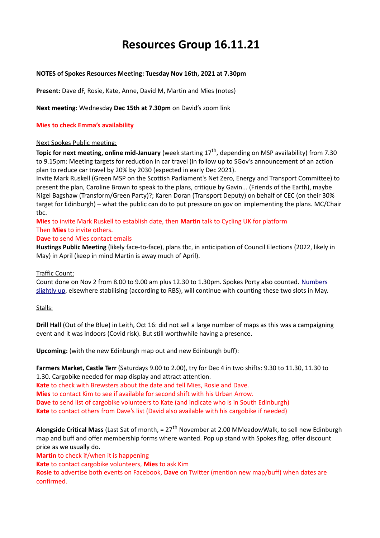# **Resources Group 16.11.21**

## **NOTES of Spokes Resources Meeting: Tuesday Nov 16th, 2021 at 7.30pm**

**Present:** Dave dF, Rosie, Kate, Anne, David M, Martin and Mies (notes)

**Next meeting:** Wednesday **Dec 15th at 7.30pm** on David's zoom link

# **Mies to check Emma's availability**

#### Next Spokes Public meeting:

**Topic for next meeting, online mid-January** (week starting 17<sup>th</sup>, depending on MSP availability) from 7.30 to 9.15pm: Meeting targets for reduction in car travel (in follow up to SGov's announcement of an action plan to reduce car travel by 20% by 2030 (expected in early Dec 2021).

Invite Mark Ruskell (Green MSP on the Scottish Parliament's Net Zero, Energy and Transport Committee) to present the plan, Caroline Brown to speak to the plans, critique by Gavin... (Friends of the Earth), maybe Nigel Bagshaw (Transform/Green Party)?; Karen Doran (Transport Deputy) on behalf of CEC (on their 30% target for Edinburgh) – what the public can do to put pressure on gov on implementing the plans. MC/Chair tbc.

**Mies** to invite Mark Ruskell to establish date, then **Martin** talk to Cycling UK for platform Then **Mies** to invite others.

# **Dave** to send Mies contact emails

**Hustings Public Meeting** (likely face-to-face), plans tbc, in anticipation of Council Elections (2022, likely in May) in April (keep in mind Martin is away much of April).

## Traffic Count:

Count done on Nov 2 from 8.00 to 9.00 am plus 12.30 to 1.30pm. Spokes Porty also counted. [Numbers](http://www.spokes.org.uk/2021/11/bikes-up-in-city-centre/)  [slightly up,](http://www.spokes.org.uk/2021/11/bikes-up-in-city-centre/) elsewhere stabilising (according to RBS), will continue with counting these two slots in May.

#### Stalls:

**Drill Hall** (Out of the Blue) in Leith, Oct 16: did not sell a large number of maps as this was a campaigning event and it was indoors (Covid risk). But still worthwhile having a presence.

**Upcoming:** (with the new Edinburgh map out and new Edinburgh buff):

**Farmers Market, Castle Terr** (Saturdays 9.00 to 2.00), try for Dec 4 in two shifts: 9.30 to 11.30, 11.30 to 1.30. Cargobike needed for map display and attract attention.

**Kate** to check with Brewsters about the date and tell Mies, Rosie and Dave. **Mies** to contact Kim to see if available for second shift with his Urban Arrow. **Dave** to send list of cargobike volunteers to Kate (and indicate who is in South Edinburgh) **Kate** to contact others from Dave's list (David also available with his cargobike if needed)

**Alongside Critical Mass** (Last Sat of month, = 27th November at 2.00 MMeadowWalk, to sell new Edinburgh map and buff and offer membership forms where wanted. Pop up stand with Spokes flag, offer discount price as we usually do.

**Martin** to check if/when it is happening

**Kate** to contact cargobike volunteers, **Mies** to ask Kim

**Rosie** to advertise both events on Facebook, **Dave** on Twitter (mention new map/buff) when dates are confirmed.